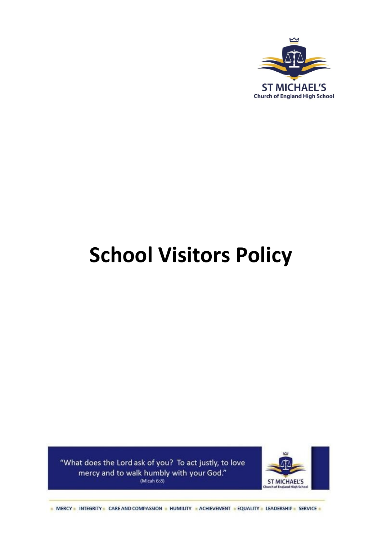

# **School Visitors Policy**

"What does the Lord ask of you? To act justly, to love mercy and to walk humbly with your God." (Micah  $6:8$ )



- MERCY - INTEGRITY - CARE AND COMPASSION - HUMILITY - ACHIEVEMENT - EQUALITY - LEADERSHIP - SERVICE -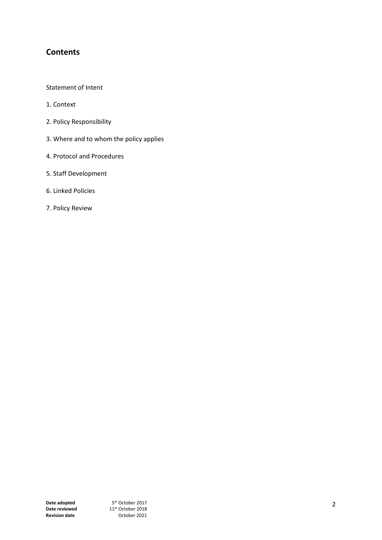# **Contents**

Statement of Intent

- 1. Context
- 2. Policy Responsibility
- 3. Where and to whom the policy applies
- 4. Protocol and Procedures
- 5. Staff Development
- 6. Linked Policies
- 7. Policy Review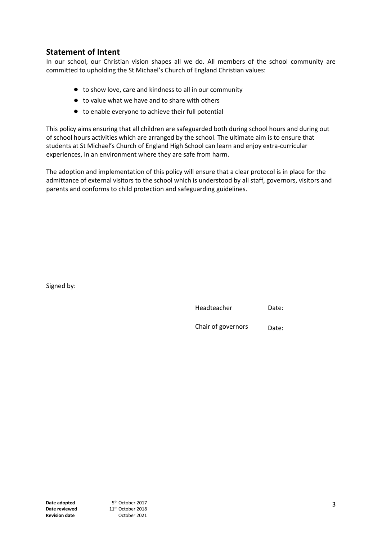## **Statement of Intent**

In our school, our Christian vision shapes all we do. All members of the school community are committed to upholding the St Michael's Church of England Christian values:

- to show love, care and kindness to all in our community
- to value what we have and to share with others
- to enable everyone to achieve their full potential

This policy aims ensuring that all children are safeguarded both during school hours and during out of school hours activities which are arranged by the school. The ultimate aim is to ensure that students at St Michael's Church of England High School can learn and enjoy extra-curricular experiences, in an environment where they are safe from harm.

The adoption and implementation of this policy will ensure that a clear protocol is in place for the admittance of external visitors to the school which is understood by all staff, governors, visitors and parents and conforms to child protection and safeguarding guidelines.

| Headteacher        | Date: |
|--------------------|-------|
| Chair of governors | Date: |

Signed by: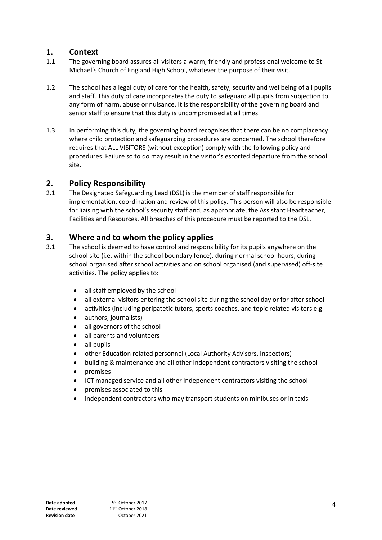### **1. Context**

- 1.1 The governing board assures all visitors a warm, friendly and professional welcome to St Michael's Church of England High School, whatever the purpose of their visit.
- 1.2 The school has a legal duty of care for the health, safety, security and wellbeing of all pupils and staff. This duty of care incorporates the duty to safeguard all pupils from subjection to any form of harm, abuse or nuisance. It is the responsibility of the governing board and senior staff to ensure that this duty is uncompromised at all times.
- 1.3 In performing this duty, the governing board recognises that there can be no complacency where child protection and safeguarding procedures are concerned. The school therefore requires that ALL VISITORS (without exception) comply with the following policy and procedures. Failure so to do may result in the visitor's escorted departure from the school site.

## **2. Policy Responsibility**

2.1 The Designated Safeguarding Lead (DSL) is the member of staff responsible for implementation, coordination and review of this policy. This person will also be responsible for liaising with the school's security staff and, as appropriate, the Assistant Headteacher, Facilities and Resources. All breaches of this procedure must be reported to the DSL.

## **3. Where and to whom the policy applies**

- 3.1 The school is deemed to have control and responsibility for its pupils anywhere on the school site (i.e. within the school boundary fence), during normal school hours, during school organised after school activities and on school organised (and supervised) off-site activities. The policy applies to:
	- all staff employed by the school
	- all external visitors entering the school site during the school day or for after school
	- activities (including peripatetic tutors, sports coaches, and topic related visitors e.g.
	- authors, journalists)
	- all governors of the school
	- all parents and volunteers
	- all pupils
	- other Education related personnel (Local Authority Advisors, Inspectors)
	- building & maintenance and all other Independent contractors visiting the school
	- premises
	- ICT managed service and all other Independent contractors visiting the school
	- premises associated to this
	- independent contractors who may transport students on minibuses or in taxis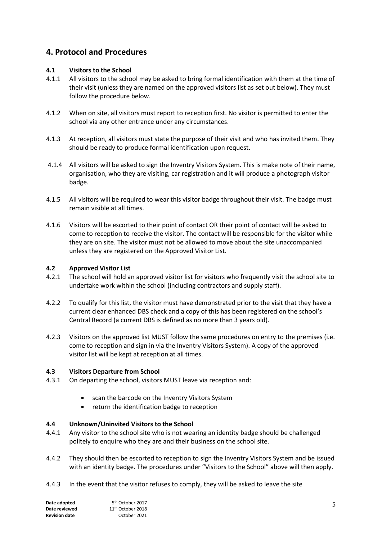# **4. Protocol and Procedures**

#### **4.1 Visitors to the School**

- 4.1.1 All visitors to the school may be asked to bring formal identification with them at the time of their visit (unless they are named on the approved visitors list as set out below). They must follow the procedure below.
- 4.1.2 When on site, all visitors must report to reception first. No visitor is permitted to enter the school via any other entrance under any circumstances.
- 4.1.3 At reception, all visitors must state the purpose of their visit and who has invited them. They should be ready to produce formal identification upon request.
- 4.1.4 All visitors will be asked to sign the Inventry Visitors System. This is make note of their name, organisation, who they are visiting, car registration and it will produce a photograph visitor badge.
- 4.1.5 All visitors will be required to wear this visitor badge throughout their visit. The badge must remain visible at all times.
- 4.1.6 Visitors will be escorted to their point of contact OR their point of contact will be asked to come to reception to receive the visitor. The contact will be responsible for the visitor while they are on site. The visitor must not be allowed to move about the site unaccompanied unless they are registered on the Approved Visitor List.

#### **4.2 Approved Visitor List**

- 4.2.1 The school will hold an approved visitor list for visitors who frequently visit the school site to undertake work within the school (including contractors and supply staff).
- 4.2.2 To qualify for this list, the visitor must have demonstrated prior to the visit that they have a current clear enhanced DBS check and a copy of this has been registered on the school's Central Record (a current DBS is defined as no more than 3 years old).
- 4.2.3 Visitors on the approved list MUST follow the same procedures on entry to the premises (i.e. come to reception and sign in via the Inventry Visitors System). A copy of the approved visitor list will be kept at reception at all times.

#### **4.3 Visitors Departure from School**

- 4.3.1 On departing the school, visitors MUST leave via reception and:
	- scan the barcode on the Inventry Visitors System
	- return the identification badge to reception

#### **4.4 Unknown/Uninvited Visitors to the School**

- 4.4.1 Any visitor to the school site who is not wearing an identity badge should be challenged politely to enquire who they are and their business on the school site.
- 4.4.2 They should then be escorted to reception to sign the Inventry Visitors System and be issued with an identity badge. The procedures under "Visitors to the School" above will then apply.
- 4.4.3 In the event that the visitor refuses to comply, they will be asked to leave the site